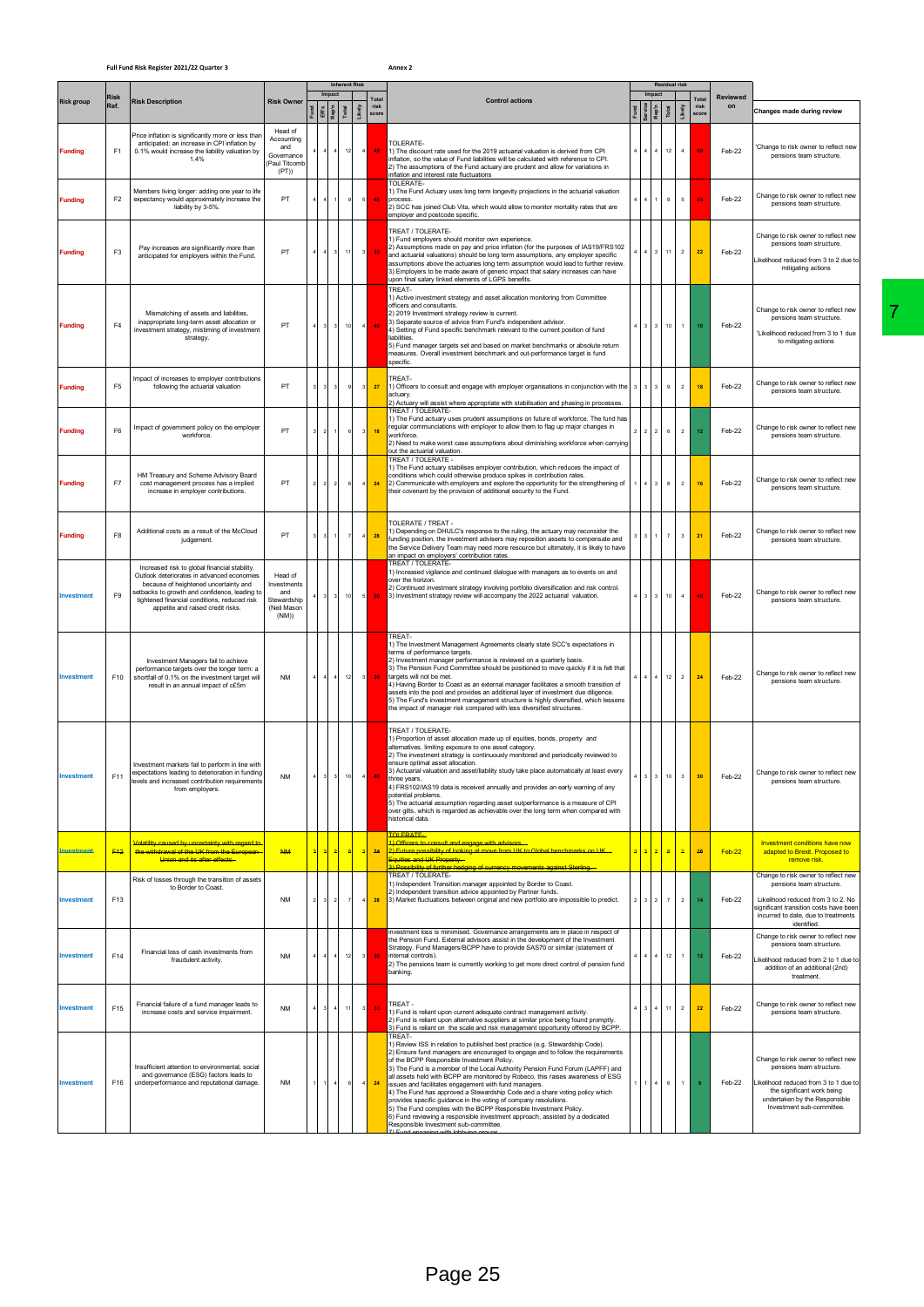## **Full Fund Risk Register 2021/22 Quarter 3 Annex 2**

|                   |                 |                                                                                                                                                                                                                                                                            |                                                                      |                         |                           | <b>Inherent Risk</b> |                                             |                                                                                                                                                                                                                                                                                                                                                                                                                                                                                                                                                                                                                                                                                                                                                                                                        |  |                         |              | <b>Residual risk</b>           |                        |                       |                                                                                                                                                                                                      |
|-------------------|-----------------|----------------------------------------------------------------------------------------------------------------------------------------------------------------------------------------------------------------------------------------------------------------------------|----------------------------------------------------------------------|-------------------------|---------------------------|----------------------|---------------------------------------------|--------------------------------------------------------------------------------------------------------------------------------------------------------------------------------------------------------------------------------------------------------------------------------------------------------------------------------------------------------------------------------------------------------------------------------------------------------------------------------------------------------------------------------------------------------------------------------------------------------------------------------------------------------------------------------------------------------------------------------------------------------------------------------------------------------|--|-------------------------|--------------|--------------------------------|------------------------|-----------------------|------------------------------------------------------------------------------------------------------------------------------------------------------------------------------------------------------|
| <b>Risk group</b> | Risk<br>Ref.    | <b>Risk Description</b>                                                                                                                                                                                                                                                    | <b>Risk Owner</b>                                                    | Impact<br>ER's<br>Rep'n | Total                     |                      | Total<br>risk<br>Likely<br>score            | <b>Control actions</b>                                                                                                                                                                                                                                                                                                                                                                                                                                                                                                                                                                                                                                                                                                                                                                                 |  | Impact                  | <b>Total</b> | Likely                         | Total<br>risk<br>score | <b>Reviewed</b><br>on | Changes made during review                                                                                                                                                                           |
| <b>Funding</b>    | F1              | Price inflation is significantly more or less than<br>anticipated: an increase in CPI inflation by<br>0.1% would increase the liability valuation by<br>1.4%                                                                                                               | Head of<br>Accounting<br>and<br>Governance<br>(Paul Titcoml<br>(PT)  |                         | $\overline{4}$            | 12                   | $\sqrt{4}$<br>48                            | TOLERATE-<br>1) The discount rate used for the 2019 actuarial valuation is derived from CPI<br>nflation, so the value of Fund liabilities will be calculated with reference to CPI.<br>2) The assumptions of the Fund actuary are prudent and allow for variations in<br>nflation and interest rate fluctuations                                                                                                                                                                                                                                                                                                                                                                                                                                                                                       |  | 4                       |              | $\,$ 4 $\,$<br>12              |                        | Feb-22                | 'Change to risk owner to reflect new<br>pensions team structure.                                                                                                                                     |
| <b>Funding</b>    | F <sub>2</sub>  | Members living longer: adding one year to life<br>expectancy would approximately increase the<br>liability by 3-5%.                                                                                                                                                        | PT                                                                   |                         |                           |                      | $\mathsf s$<br>45                           | TOLERATE-<br>I) The Fund Actuary uses long term longevity projections in the actuarial valuation<br>process<br>2) SCC has joined Club Vita, which would allow to monitor mortality rates that are<br>employer and postcode specific.                                                                                                                                                                                                                                                                                                                                                                                                                                                                                                                                                                   |  | $\mathbf{A}$            |              | $^{\rm 9}$<br>$\mathsf{s}$     | A.                     | Feb-22                | Change to risk owner to reflect new<br>pensions team structure.                                                                                                                                      |
| <b>Fundina</b>    | F <sub>3</sub>  | Pay increases are significantly more than<br>anticipated for employers within the Fund.                                                                                                                                                                                    | PT                                                                   |                         | $\ensuremath{\mathsf{3}}$ | 11                   | $\overline{\phantom{a}}$<br>33 <sub>1</sub> | TREAT / TOLERATE-<br>1) Fund employers should monitor own experience.<br>2) Assumptions made on pay and price inflation (for the purposes of IAS19/FRS102<br>and actuarial valuations) should be long term assumptions, any employer specific<br>assumptions above the actuaries long term assumption would lead to further review<br>3) Employers to be made aware of generic impact that salary increases can have<br>upon final salary linked elements of LGPS benefits                                                                                                                                                                                                                                                                                                                             |  |                         |              | $\,$ 2 $\,$<br>11              | $\bf 22$               | Feb-22                | Change to risk owner to reflect new<br>pensions team structure.<br>Likelihood reduced from 3 to 2 due to<br>mitigating actions                                                                       |
| <b>Funding</b>    | F <sub>4</sub>  | Mismatching of assets and liabilities,<br>inappropriate long-term asset allocation or<br>investment strategy, mistiming of investment<br>strategy.                                                                                                                         | PT                                                                   |                         | $\sqrt{3}$                | 10                   | $\overline{4}$<br>40 <sub>1</sub>           | <b>TRFAT-</b><br>1) Active investment strategy and asset allocation monitoring from Committee<br>officers and consultants.<br>2) 2019 Investment strategy review is current.<br>3) Separate source of advice from Fund's independent advisor.<br>4) Setting of Fund specific benchmark relevant to the current position of fund<br>liabilities.<br>5) Fund manager targets set and based on market benchmarks or absolute return<br>measures. Overall investment benchmark and out-performance target is fund<br>specific                                                                                                                                                                                                                                                                              |  | $3 \mid 3$              |              | $\,1\,$<br>10                  | 10                     | Feb-22                | Change to risk owner to reflect new<br>pensions team structure.<br>'Likelihood reduced from 3 to 1 due<br>to mitigating actions                                                                      |
| <b>Funding</b>    | F <sub>5</sub>  | Impact of increases to employer contributions<br>following the actuarial valuation                                                                                                                                                                                         | PT                                                                   |                         | 3                         |                      | $\overline{\mathbf{3}}$<br>27               | TRFAT-<br>1) Officers to consult and engage with employer organisations in conjunction with the<br>actuary.<br>2) Actuary will assist where appropriate with stabilisation and phasing in processes.                                                                                                                                                                                                                                                                                                                                                                                                                                                                                                                                                                                                   |  |                         | $^{\rm 9}$   | $\sqrt{2}$                     | 18                     | Feb-22                | Change to risk owner to reflect new<br>pensions team structure.                                                                                                                                      |
| <b>Funding</b>    | F <sub>6</sub>  | Impact of government policy on the employer<br>workforce.                                                                                                                                                                                                                  | PT                                                                   | $\overline{2}$          | $\,$ 1                    | 6                    | $\,$ 3<br>18 <sup>°</sup>                   | <b>TREAT / TOLERATE-</b><br>1) The Fund actuary uses prudent assumptions on future of workforce. The fund has<br>regular communciations with employer to allow them to flag up major changes in<br>workforce.<br>2) Need to make worst case assumptions about diminishing workforce when carrying                                                                                                                                                                                                                                                                                                                                                                                                                                                                                                      |  | $2 \mid 2$              |              | $\,$ 2 $\,$<br>$\,6\,$         | 12                     | Feb-22                | Change to risk owner to reflect new<br>pensions team structure.                                                                                                                                      |
| <b>Funding</b>    | F7              | HM Treasury and Scheme Advisory Board<br>cost management process has a implied<br>increase in employer contributions.                                                                                                                                                      | PT                                                                   | $\overline{2}$          | $\,$ 2 $\,$               | 6                    | $\sqrt{4}$<br>24                            | out the actuarial valuation.<br>TREAT / TOLERATE -<br>1) The Fund actuary stabilises employer contribution, which reduces the impact of<br>conditions which could otherwise produce spikes in contribution rates.<br>2) Communicate with employers and explore the opportunity for the strengthening of<br>their covenant by the provision of additional security to the Fund.                                                                                                                                                                                                                                                                                                                                                                                                                         |  | $4 \mid 3$              |              | $\,$ 2 $\,$<br>$\mathbf{8}$    | 16                     | Feb-22                | Change to risk owner to reflect new<br>pensions team structure.                                                                                                                                      |
| <b>Funding</b>    | F <sub>8</sub>  | Additional costs as a result of the McCloud<br>judgement                                                                                                                                                                                                                   | PT                                                                   |                         |                           |                      | 28<br>$\overline{4}$                        | <b>TOLERATE / TREAT -</b><br>1) Depending on DHULC's response to the ruling, the actuary may reconsider the<br>funding position, the investment advisers may reposition assets to compensate and<br>the Service Delivery Team may need more resource but ultimately, it is likely to have                                                                                                                                                                                                                                                                                                                                                                                                                                                                                                              |  | $\overline{\mathbf{3}}$ |              | $\boldsymbol{7}$<br>$\,$ 3     | 21                     | Feb-22                | Change to risk owner to reflect new<br>pensions team structure.                                                                                                                                      |
| Investment        | F9              | Increased risk to global financial stability.<br>Outlook deteriorates in advanced economies<br>because of heightened uncertainty and<br>setbacks to growth and confidence, leading to<br>tightened financial conditions, reduced risk<br>appetite and raised credit risks. | Head of<br>Investments<br>and<br>Stewardship<br>(Neil Mason<br>(NM)) |                         | $\ensuremath{\mathsf{3}}$ | 10                   | $\sqrt{5}$<br>50                            | an impact on employers' contribution rates.<br>TREAT / TOLERATE-<br>1) Increased vigilance and continued dialogue with managers as to events on and<br>over the horizon.<br>2) Continued investment strategy involving portfolio diversification and risk control.<br>3) Investment strategy review will accompany the 2022 actuarial valuation.                                                                                                                                                                                                                                                                                                                                                                                                                                                       |  | $3 \mid 3$              |              | $\overline{4}$<br>10           | 40                     | Feb-22                | Change to risk owner to reflect new<br>pensions team structure.                                                                                                                                      |
| <b>Investment</b> | F10             | Investment Managers fail to achieve<br>performance targets over the longer term: a<br>shortfall of 0.1% on the investment target will<br>result in an annual impact of c£5m                                                                                                | <b>NM</b>                                                            |                         | $\sqrt{4}$                | 12                   | $^{\rm 3}$<br>36                            | <b>TREAT-</b><br>I) The Investment Management Agreements clearly state SCC's expectations in<br>erms of performance targets.<br>2) Investment manager performance is reviewed on a quarterly basis.<br>3) The Pension Fund Committee should be positioned to move quickly if it is felt that<br>targets will not be met.<br>4) Having Border to Coast as an external manager facilitates a smooth transition of<br>assets into the pool and provides an additional layer of investment due diligence.<br>5) The Fund's investment management structure is highly diversified, which lessens<br>the impact of manager risk compared with less diversified structures.                                                                                                                                   |  | 4                       |              | 12<br>$\overline{2}$           | 24                     | Feb-22                | Change to risk owner to reflect new<br>pensions team structure.                                                                                                                                      |
| nvestment         | F11             | Investment markets fail to perform in line with<br>expectations leading to deterioration in funding<br>levels and increased contribution requirements<br>from employers.                                                                                                   | <b>NM</b>                                                            |                         |                           |                      |                                             | TREAT / TOLERATE-<br>1) Proportion of asset allocation made up of equities, bonds, property and<br>alternatives, limiting exposure to one asset category.<br>2) The investment strategy is continuously monitored and periodically reviewed to<br>ensure optimal asset allocation.<br>3) Actuarial valuation and asset/liability study take place automatically at least every<br>three vears.<br>4) FRS102/IAS19 data is received annually and provides an early warning of any<br>potential problems.<br>5) The actuarial assumption regarding asset outperformance is a measure of CPI<br>over gilts, which is regarded as achievable over the long term when compared with<br>historical data.                                                                                                     |  |                         |              | 3 <sup>1</sup><br>$10-10$      | 30 <sub>1</sub>        | Feh.22                | Change to risk owner to reflect new<br>pensions team structure.                                                                                                                                      |
| <b>nvestment</b>  | F <sub>12</sub> | Volatility caused by uncertainty with regard to<br>the withdrawal of the UK from the European<br>Union and its after effects.                                                                                                                                              | <b>NM</b>                                                            | $\overline{a}$          | $\overline{a}$            | $\mathbf{8}$         | $\overline{a}$<br>24                        | OLERATE-<br>> Officers to consult and engage with advisors<br>2) Future possibility of looking at move from UK to Global benchmarks on UK<br>Equities and UK Property.<br>Possibility of further hedging of currency movements against Sterling.                                                                                                                                                                                                                                                                                                                                                                                                                                                                                                                                                       |  | 22                      |              | 8 <sup>1</sup><br>$\mathbf{a}$ | 46                     | Feb-22                | Investment conditions have now<br>adapted to Brexit. Proposed to<br>remove risk.                                                                                                                     |
| <b>Investment</b> | F13             | Risk of losses through the transition of assets<br>to Border to Coast.                                                                                                                                                                                                     | <b>NM</b>                                                            | 3                       | $\boldsymbol{2}$          | - 7                  | $\overline{4}$<br>28                        | <b>FREAT / TOLERATE-</b><br>1) Independent Transition manager appointed by Border to Coast.<br>2) Independent transition advice appointed by Partner funds.<br>3) Market fluctuations between original and new portfolio are impossible to predict.                                                                                                                                                                                                                                                                                                                                                                                                                                                                                                                                                    |  | 3 2                     |              | $\,$ 2 $\,$<br>$\overline{7}$  | 14                     | Feb-22                | Change to risk owner to reflect new<br>pensions team structure.<br>Likelihood reduced from 3 to 2. No<br>significant transition costs have been<br>incurred to date, due to treatments               |
| Investment        | F14             | Financial loss of cash investments from<br>fraudulent activity.                                                                                                                                                                                                            | <b>NM</b>                                                            |                         | $\sqrt{4}$                | 12                   | $\boldsymbol{\mathsf{3}}$<br>36             | nvestment loss is minimised. Governance arrangements are in place in respect of<br>the Pension Fund. External advisors assist in the development of the Investment<br>Strategy. Fund Managers/BCPP have to provide SAS70 or similar (statement of<br>internal controls).<br>2) The pensions team is currently working to get more direct control of pension fund<br>banking.                                                                                                                                                                                                                                                                                                                                                                                                                           |  | 4 <sup>1</sup>          |              | 12<br>$\overline{1}$           | 12                     | Feb-22                | identified.<br>Change to risk owner to reflect new<br>pensions team structure.<br>ikelihood reduced from 2 to 1 due to<br>addition of an additional (2nd)<br>treatment.                              |
| Investment        | F <sub>15</sub> | Financial failure of a fund manager leads to<br>increase costs and service impairment.                                                                                                                                                                                     | <b>NM</b>                                                            | 3                       | $\sqrt{4}$                | 11                   | $^{\rm 3}$<br>33 <sub>1</sub>               | TREAT-<br>1) Fund is reliant upon current adequate contract management activity.<br>2) Fund is reliant upon alternative suppliers at similar price being found promptly.<br>3) Fund is reliant on the scale and risk management opportunity offered by BCPP.                                                                                                                                                                                                                                                                                                                                                                                                                                                                                                                                           |  | $3 \mid 4$              |              | 2<br>$11 -$                    | $\bf 22$               | Feb-22                | Change to risk owner to reflect new<br>pensions team structure.                                                                                                                                      |
| Investment        | F16             | Insufficient attention to environmental, social<br>and governance (ESG) factors leads to<br>underperformance and reputational damage.                                                                                                                                      | <b>NM</b>                                                            |                         | $\overline{4}$            |                      | $\overline{4}$<br>24                        | TREAT-<br>1) Review ISS in relation to published best practice (e.g. Stewardship Code).<br>2) Ensure fund managers are encouraged to engage and to follow the requirements<br>of the BCPP Responsible Investment Policy.<br>3) The Fund is a member of the Local Authority Pension Fund Forum (LAPFF) and<br>all assets held with BCPP are monitored by Robeco, this raises awareness of ESG<br>issues and facilitates engagement with fund managers.<br>4) The Fund has approved a Stewardship Code and a share voting policy which<br>provides specific guidance in the voting of company resolutions.<br>5) The Fund complies with the BCPP Responsible Investment Policy.<br>6) Fund reviewing a responsible investment approach, assisted by a dedicated<br>Responsible Investment sub-committee. |  |                         |              | $\,6\,$<br>$\mathbf{1}$        |                        | Feb-22                | Change to risk owner to reflect new<br>pensions team structure.<br>Likelihood reduced from 3 to 1 due to<br>the significant work being<br>undertaken by the Responsible<br>Investment sub-committee. |